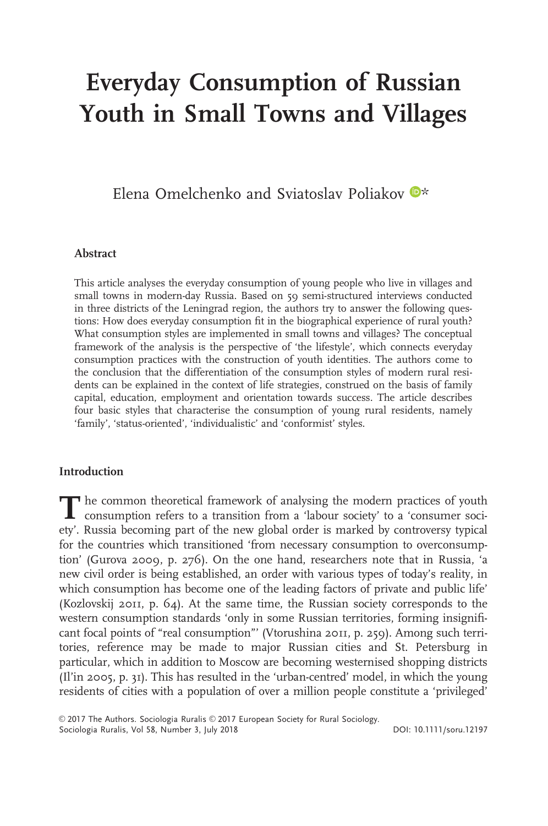# Everyday Consumption of Russian Youth in Small Towns and Villages

Elena Omelchenko and Sviatoslav Poliakov  $\mathbb{D}^*$ 

#### Abstract

This article analyses the everyday consumption of young people who live in villages and small towns in modern-day Russia. Based on 59 semi-structured interviews conducted in three districts of the Leningrad region, the authors try to answer the following questions: How does everyday consumption fit in the biographical experience of rural youth? What consumption styles are implemented in small towns and villages? The conceptual framework of the analysis is the perspective of 'the lifestyle', which connects everyday consumption practices with the construction of youth identities. The authors come to the conclusion that the differentiation of the consumption styles of modern rural residents can be explained in the context of life strategies, construed on the basis of family capital, education, employment and orientation towards success. The article describes four basic styles that characterise the consumption of young rural residents, namely 'family', 'status-oriented', 'individualistic' and 'conformist' styles.

#### Introduction

The common theoretical framework of analysing the modern practices of youth consumption refers to a transition from a 'labour society' to a 'consumer society'. Russia becoming part of the new global order is marked by controversy typical for the countries which transitioned 'from necessary consumption to overconsumption' (Gurova 2009, p. 276). On the one hand, researchers note that in Russia, 'a new civil order is being established, an order with various types of today's reality, in which consumption has become one of the leading factors of private and public life' (Kozlovskij 2011, p. 64). At the same time, the Russian society corresponds to the western consumption standards 'only in some Russian territories, forming insignificant focal points of "real consumption"' (Vtorushina 2011, p. 259). Among such territories, reference may be made to major Russian cities and St. Petersburg in particular, which in addition to Moscow are becoming westernised shopping districts (Il'in 2005, p. 31). This has resulted in the 'urban-centred' model, in which the young residents of cities with a population of over a million people constitute a 'privileged'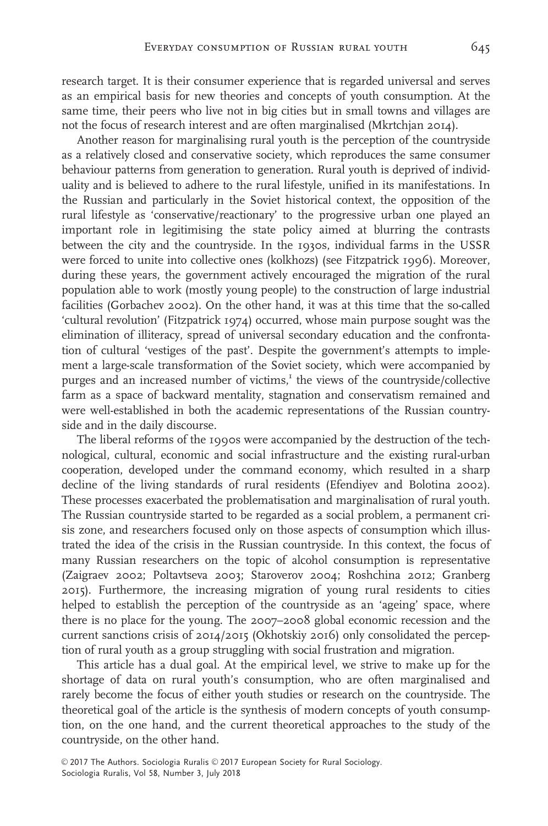research target. It is their consumer experience that is regarded universal and serves as an empirical basis for new theories and concepts of youth consumption. At the same time, their peers who live not in big cities but in small towns and villages are not the focus of research interest and are often marginalised (Mkrtchjan 2014).

Another reason for marginalising rural youth is the perception of the countryside as a relatively closed and conservative society, which reproduces the same consumer behaviour patterns from generation to generation. Rural youth is deprived of individuality and is believed to adhere to the rural lifestyle, unified in its manifestations. In the Russian and particularly in the Soviet historical context, the opposition of the rural lifestyle as 'conservative/reactionary' to the progressive urban one played an important role in legitimising the state policy aimed at blurring the contrasts between the city and the countryside. In the 1930s, individual farms in the USSR were forced to unite into collective ones (kolkhozs) (see Fitzpatrick 1996). Moreover, during these years, the government actively encouraged the migration of the rural population able to work (mostly young people) to the construction of large industrial facilities (Gorbachev 2002). On the other hand, it was at this time that the so-called 'cultural revolution' (Fitzpatrick 1974) occurred, whose main purpose sought was the elimination of illiteracy, spread of universal secondary education and the confrontation of cultural 'vestiges of the past'. Despite the government's attempts to implement a large-scale transformation of the Soviet society, which were accompanied by purges and an increased number of victims,<sup>1</sup> the views of the countryside/collective farm as a space of backward mentality, stagnation and conservatism remained and were well-established in both the academic representations of the Russian countryside and in the daily discourse.

The liberal reforms of the 1990s were accompanied by the destruction of the technological, cultural, economic and social infrastructure and the existing rural-urban cooperation, developed under the command economy, which resulted in a sharp decline of the living standards of rural residents (Efendiyev and Bolotina 2002). These processes exacerbated the problematisation and marginalisation of rural youth. The Russian countryside started to be regarded as a social problem, a permanent crisis zone, and researchers focused only on those aspects of consumption which illustrated the idea of the crisis in the Russian countryside. In this context, the focus of many Russian researchers on the topic of alcohol consumption is representative (Zaigraev 2002; Poltavtseva 2003; Staroverov 2004; Roshchina 2012; Granberg 2015). Furthermore, the increasing migration of young rural residents to cities helped to establish the perception of the countryside as an 'ageing' space, where there is no place for the young. The 2007–2008 global economic recession and the current sanctions crisis of 2014/2015 (Okhotskiy 2016) only consolidated the perception of rural youth as a group struggling with social frustration and migration.

This article has a dual goal. At the empirical level, we strive to make up for the shortage of data on rural youth's consumption, who are often marginalised and rarely become the focus of either youth studies or research on the countryside. The theoretical goal of the article is the synthesis of modern concepts of youth consumption, on the one hand, and the current theoretical approaches to the study of the countryside, on the other hand.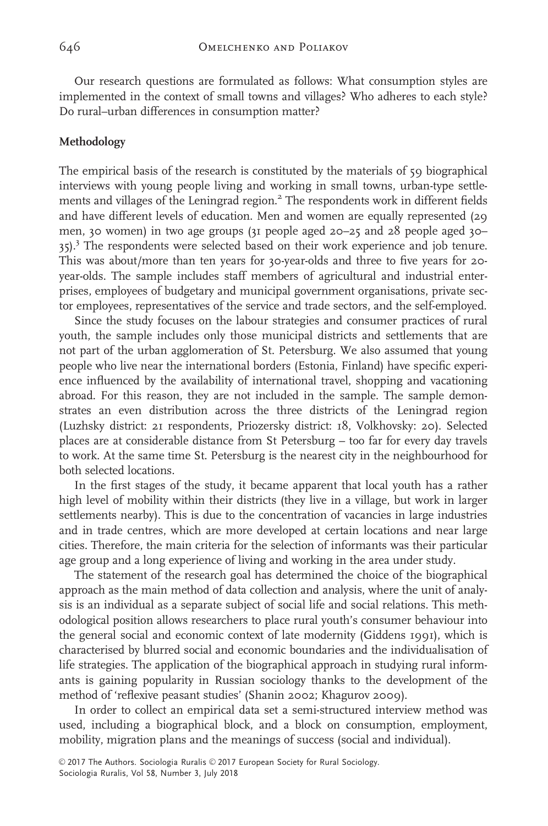Our research questions are formulated as follows: What consumption styles are implemented in the context of small towns and villages? Who adheres to each style? Do rural–urban differences in consumption matter?

# Methodology

The empirical basis of the research is constituted by the materials of 59 biographical interviews with young people living and working in small towns, urban-type settlements and villages of the Leningrad region.<sup>2</sup> The respondents work in different fields and have different levels of education. Men and women are equally represented (29 men, 30 women) in two age groups (31 people aged 20–25 and 28 people aged 30– 35).<sup>3</sup> The respondents were selected based on their work experience and job tenure. This was about/more than ten years for 30-year-olds and three to five years for 20 year-olds. The sample includes staff members of agricultural and industrial enterprises, employees of budgetary and municipal government organisations, private sector employees, representatives of the service and trade sectors, and the self-employed.

Since the study focuses on the labour strategies and consumer practices of rural youth, the sample includes only those municipal districts and settlements that are not part of the urban agglomeration of St. Petersburg. We also assumed that young people who live near the international borders (Estonia, Finland) have specific experience influenced by the availability of international travel, shopping and vacationing abroad. For this reason, they are not included in the sample. The sample demonstrates an even distribution across the three districts of the Leningrad region (Luzhsky district: 21 respondents, Priozersky district: 18, Volkhovsky: 20). Selected places are at considerable distance from St Petersburg – too far for every day travels to work. At the same time St. Petersburg is the nearest city in the neighbourhood for both selected locations.

In the first stages of the study, it became apparent that local youth has a rather high level of mobility within their districts (they live in a village, but work in larger settlements nearby). This is due to the concentration of vacancies in large industries and in trade centres, which are more developed at certain locations and near large cities. Therefore, the main criteria for the selection of informants was their particular age group and a long experience of living and working in the area under study.

The statement of the research goal has determined the choice of the biographical approach as the main method of data collection and analysis, where the unit of analysis is an individual as a separate subject of social life and social relations. This methodological position allows researchers to place rural youth's consumer behaviour into the general social and economic context of late modernity (Giddens 1991), which is characterised by blurred social and economic boundaries and the individualisation of life strategies. The application of the biographical approach in studying rural informants is gaining popularity in Russian sociology thanks to the development of the method of 'reflexive peasant studies' (Shanin 2002; Khagurov 2009).

In order to collect an empirical data set a semi-structured interview method was used, including a biographical block, and a block on consumption, employment, mobility, migration plans and the meanings of success (social and individual).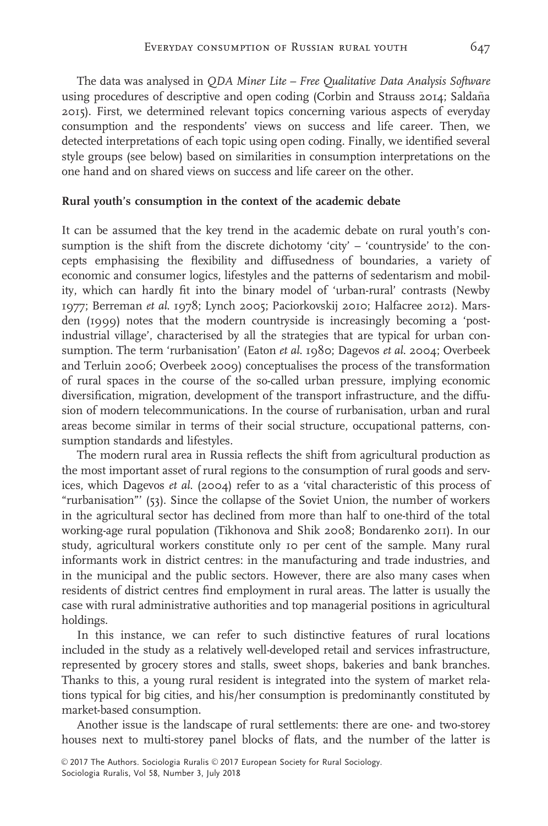The data was analysed in QDA Miner Lite – Free Qualitative Data Analysis Software using procedures of descriptive and open coding (Corbin and Strauss 2014; Saldaña 2015). First, we determined relevant topics concerning various aspects of everyday consumption and the respondents' views on success and life career. Then, we detected interpretations of each topic using open coding. Finally, we identified several style groups (see below) based on similarities in consumption interpretations on the one hand and on shared views on success and life career on the other.

#### Rural youth's consumption in the context of the academic debate

It can be assumed that the key trend in the academic debate on rural youth's consumption is the shift from the discrete dichotomy 'city' – 'countryside' to the concepts emphasising the flexibility and diffusedness of boundaries, a variety of economic and consumer logics, lifestyles and the patterns of sedentarism and mobility, which can hardly fit into the binary model of 'urban-rural' contrasts (Newby 1977; Berreman et al. 1978; Lynch 2005; Paciorkovskij 2010; Halfacree 2012). Marsden (1999) notes that the modern countryside is increasingly becoming a 'postindustrial village', characterised by all the strategies that are typical for urban consumption. The term 'rurbanisation' (Eaton et al. 1980; Dagevos et al. 2004; Overbeek and Terluin 2006; Overbeek 2009) conceptualises the process of the transformation of rural spaces in the course of the so-called urban pressure, implying economic diversification, migration, development of the transport infrastructure, and the diffusion of modern telecommunications. In the course of rurbanisation, urban and rural areas become similar in terms of their social structure, occupational patterns, consumption standards and lifestyles.

The modern rural area in Russia reflects the shift from agricultural production as the most important asset of rural regions to the consumption of rural goods and services, which Dagevos et al. (2004) refer to as a 'vital characteristic of this process of "rurbanisation"' (53). Since the collapse of the Soviet Union, the number of workers in the agricultural sector has declined from more than half to one-third of the total working-age rural population (Tikhonova and Shik 2008; Bondarenko 2011). In our study, agricultural workers constitute only 10 per cent of the sample. Many rural informants work in district centres: in the manufacturing and trade industries, and in the municipal and the public sectors. However, there are also many cases when residents of district centres find employment in rural areas. The latter is usually the case with rural administrative authorities and top managerial positions in agricultural holdings.

In this instance, we can refer to such distinctive features of rural locations included in the study as a relatively well-developed retail and services infrastructure, represented by grocery stores and stalls, sweet shops, bakeries and bank branches. Thanks to this, a young rural resident is integrated into the system of market relations typical for big cities, and his/her consumption is predominantly constituted by market-based consumption.

Another issue is the landscape of rural settlements: there are one- and two-storey houses next to multi-storey panel blocks of flats, and the number of the latter is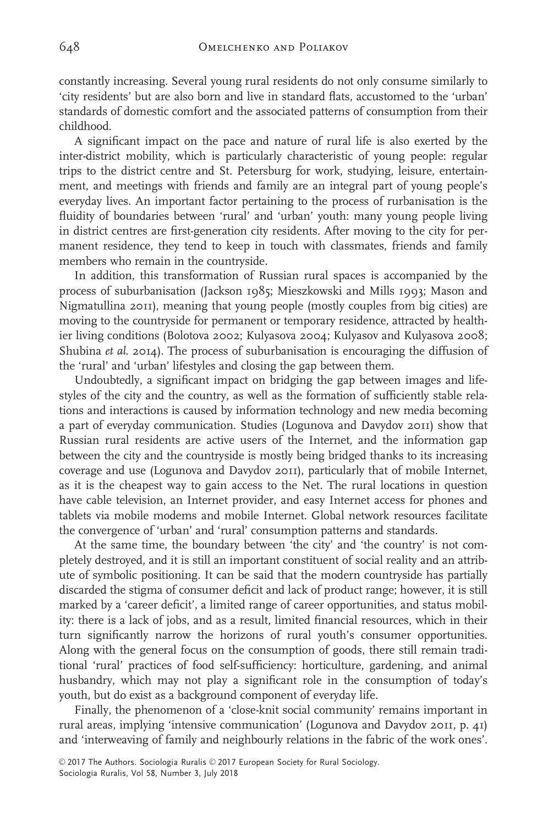constantly increasing. Several young rural residents do not only consume similarly to 'city residents' but are also born and live in standard flats, accustomed to the 'urban' standards of domestic comfort and the associated patterns of consumption from their childhood.

A significant impact on the pace and nature of rural life is also exerted by the inter-district mobility, which is particularly characteristic of young people: regular trips to the district centre and St. Petersburg for work, studying, leisure, entertainment, and meetings with friends and family are an integral part of young people's everyday lives. An important factor pertaining to the process of rurbanisation is the fluidity of boundaries between 'rural' and 'urban' youth: many young people living in district centres are first-generation city residents. After moving to the city for permanent residence, they tend to keep in touch with classmates, friends and family members who remain in the countryside.

In addition, this transformation of Russian rural spaces is accompanied by the process of suburbanisation (Jackson 1985; Mieszkowski and Mills 1993; Mason and Nigmatullina 2011), meaning that young people (mostly couples from big cities) are moving to the countryside for permanent or temporary residence, attracted by healthier living conditions (Bolotova 2002; Kulyasova 2004; Kulyasov and Kulyasova 2008; Shubina et al. 2014). The process of suburbanisation is encouraging the diffusion of the 'rural' and 'urban' lifestyles and closing the gap between them.

Undoubtedly, a significant impact on bridging the gap between images and lifestyles of the city and the country, as well as the formation of sufficiently stable relations and interactions is caused by information technology and new media becoming a part of everyday communication. Studies (Logunova and Davydov 2011) show that Russian rural residents are active users of the Internet, and the information gap between the city and the countryside is mostly being bridged thanks to its increasing coverage and use (Logunova and Davydov 2011), particularly that of mobile Internet, as it is the cheapest way to gain access to the Net. The rural locations in question have cable television, an Internet provider, and easy Internet access for phones and tablets via mobile modems and mobile Internet. Global network resources facilitate the convergence of 'urban' and 'rural' consumption patterns and standards.

At the same time, the boundary between 'the city' and 'the country' is not completely destroyed, and it is still an important constituent of social reality and an attribute of symbolic positioning. It can be said that the modern countryside has partially discarded the stigma of consumer deficit and lack of product range; however, it is still marked by a 'career deficit', a limited range of career opportunities, and status mobility: there is a lack of jobs, and as a result, limited financial resources, which in their turn significantly narrow the horizons of rural youth's consumer opportunities. Along with the general focus on the consumption of goods, there still remain traditional 'rural' practices of food self-sufficiency: horticulture, gardening, and animal husbandry, which may not play a significant role in the consumption of today's youth, but do exist as a background component of everyday life.

Finally, the phenomenon of a 'close-knit social community' remains important in rural areas, implying 'intensive communication' (Logunova and Davydov 2011, p. 41) and 'interweaving of family and neighbourly relations in the fabric of the work ones'.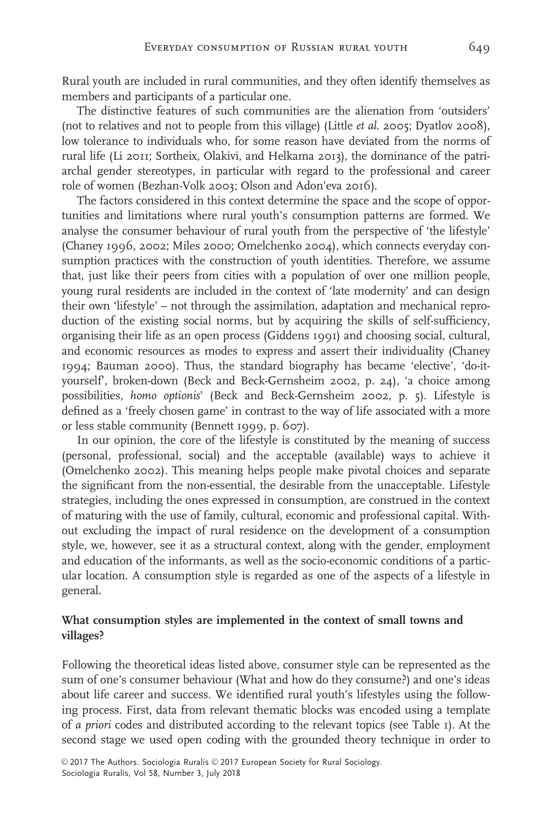Rural youth are included in rural communities, and they often identify themselves as members and participants of a particular one.

The distinctive features of such communities are the alienation from 'outsiders' (not to relatives and not to people from this village) (Little et al. 2005; Dyatlov 2008), low tolerance to individuals who, for some reason have deviated from the norms of rural life (Li 2011; Sortheix, Olakivi, and Helkama 2013), the dominance of the patriarchal gender stereotypes, in particular with regard to the professional and career role of women (Bezhan-Volk 2003; Olson and Adon'eva 2016).

The factors considered in this context determine the space and the scope of opportunities and limitations where rural youth's consumption patterns are formed. We analyse the consumer behaviour of rural youth from the perspective of 'the lifestyle' (Chaney 1996, 2002; Miles 2000; Omelchenko 2004), which connects everyday consumption practices with the construction of youth identities. Therefore, we assume that, just like their peers from cities with a population of over one million people, young rural residents are included in the context of 'late modernity' and can design their own 'lifestyle' – not through the assimilation, adaptation and mechanical reproduction of the existing social norms, but by acquiring the skills of self-sufficiency, organising their life as an open process (Giddens 1991) and choosing social, cultural, and economic resources as modes to express and assert their individuality (Chaney 1994; Bauman 2000). Thus, the standard biography has became 'elective', 'do-ityourself', broken-down (Beck and Beck-Gernsheim 2002, p. 24), 'a choice among possibilities, homo optionis' (Beck and Beck-Gernsheim 2002, p. 5). Lifestyle is defined as a 'freely chosen game' in contrast to the way of life associated with a more or less stable community (Bennett 1999, p. 607).

In our opinion, the core of the lifestyle is constituted by the meaning of success (personal, professional, social) and the acceptable (available) ways to achieve it (Omelchenko 2002). This meaning helps people make pivotal choices and separate the significant from the non-essential, the desirable from the unacceptable. Lifestyle strategies, including the ones expressed in consumption, are construed in the context of maturing with the use of family, cultural, economic and professional capital. Without excluding the impact of rural residence on the development of a consumption style, we, however, see it as a structural context, along with the gender, employment and education of the informants, as well as the socio-economic conditions of a particular location. A consumption style is regarded as one of the aspects of a lifestyle in general.

# What consumption styles are implemented in the context of small towns and villages?

Following the theoretical ideas listed above, consumer style can be represented as the sum of one's consumer behaviour (What and how do they consume?) and one's ideas about life career and success. We identified rural youth's lifestyles using the following process. First, data from relevant thematic blocks was encoded using a template of a priori codes and distributed according to the relevant topics (see Table 1). At the second stage we used open coding with the grounded theory technique in order to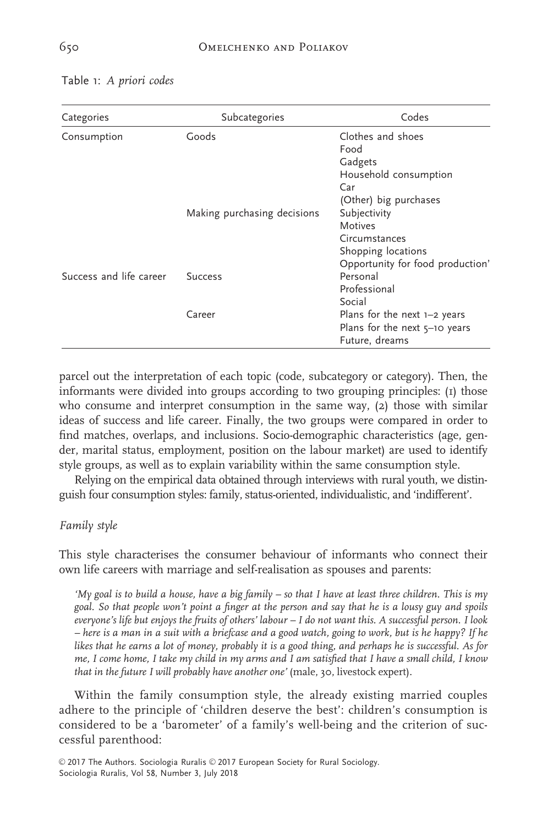| Categories              | Subcategories               | Codes                                                                               |
|-------------------------|-----------------------------|-------------------------------------------------------------------------------------|
| Consumption             | Goods                       | Clothes and shoes<br>Food                                                           |
|                         |                             | Gadgets<br>Household consumption<br>Car                                             |
|                         | Making purchasing decisions | (Other) big purchases<br>Subjectivity<br><b>Motives</b><br>Circumstances            |
|                         |                             | Shopping locations<br>Opportunity for food production'                              |
| Success and life career | <b>Success</b>              | Personal<br>Professional<br>Social                                                  |
|                         | Career                      | Plans for the next $1-2$ years<br>Plans for the next $5-10$ years<br>Future, dreams |

# Table 1: A priori codes

parcel out the interpretation of each topic (code, subcategory or category). Then, the informants were divided into groups according to two grouping principles: (1) those who consume and interpret consumption in the same way, (2) those with similar ideas of success and life career. Finally, the two groups were compared in order to find matches, overlaps, and inclusions. Socio-demographic characteristics (age, gender, marital status, employment, position on the labour market) are used to identify style groups, as well as to explain variability within the same consumption style.

Relying on the empirical data obtained through interviews with rural youth, we distinguish four consumption styles: family, status-oriented, individualistic, and 'indifferent'.

# Family style

This style characterises the consumer behaviour of informants who connect their own life careers with marriage and self-realisation as spouses and parents:

'My goal is to build a house, have a big family – so that I have at least three children. This is my goal. So that people won't point a finger at the person and say that he is a lousy guy and spoils everyone's life but enjoys the fruits of others' labour  $-I$  do not want this. A successful person. I look – here is a man in a suit with a briefcase and a good watch, going to work, but is he happy? If he likes that he earns a lot of money, probably it is a good thing, and perhaps he is successful. As for me, I come home, I take my child in my arms and I am satisfied that I have a small child, I know that in the future I will probably have another one' (male, 30, livestock expert).

Within the family consumption style, the already existing married couples adhere to the principle of 'children deserve the best': children's consumption is considered to be a 'barometer' of a family's well-being and the criterion of successful parenthood: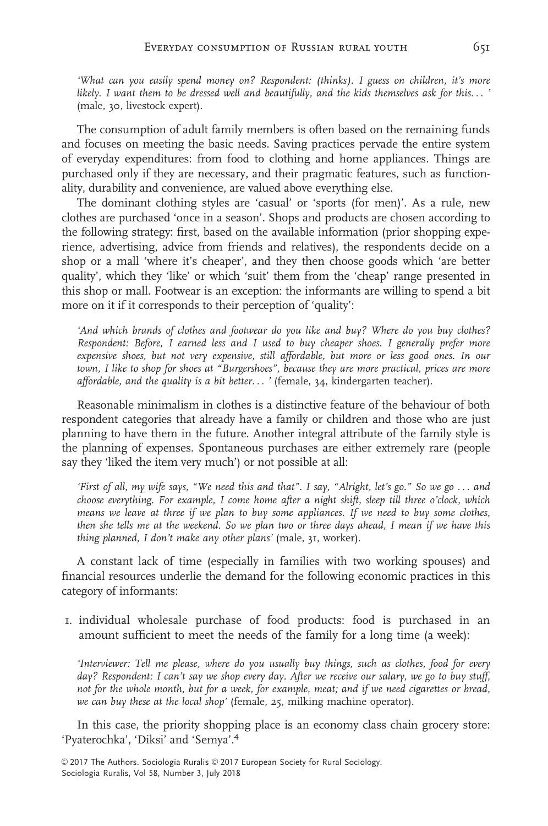'What can you easily spend money on? Respondent: (thinks). I guess on children, it's more likely. I want them to be dressed well and beautifully, and the kids themselves ask for this... ' (male, 30, livestock expert).

The consumption of adult family members is often based on the remaining funds and focuses on meeting the basic needs. Saving practices pervade the entire system of everyday expenditures: from food to clothing and home appliances. Things are purchased only if they are necessary, and their pragmatic features, such as functionality, durability and convenience, are valued above everything else.

The dominant clothing styles are 'casual' or 'sports (for men)'. As a rule, new clothes are purchased 'once in a season'. Shops and products are chosen according to the following strategy: first, based on the available information (prior shopping experience, advertising, advice from friends and relatives), the respondents decide on a shop or a mall 'where it's cheaper', and they then choose goods which 'are better quality', which they 'like' or which 'suit' them from the 'cheap' range presented in this shop or mall. Footwear is an exception: the informants are willing to spend a bit more on it if it corresponds to their perception of 'quality':

'And which brands of clothes and footwear do you like and buy? Where do you buy clothes? Respondent: Before, I earned less and I used to buy cheaper shoes. I generally prefer more expensive shoes, but not very expensive, still affordable, but more or less good ones. In our town, I like to shop for shoes at "Burgershoes", because they are more practical, prices are more affordable, and the quality is a bit better... ' (female, 34, kindergarten teacher).

Reasonable minimalism in clothes is a distinctive feature of the behaviour of both respondent categories that already have a family or children and those who are just planning to have them in the future. Another integral attribute of the family style is the planning of expenses. Spontaneous purchases are either extremely rare (people say they 'liked the item very much') or not possible at all:

'First of all, my wife says, "We need this and that". I say, "Alright, let's go." So we go ... and choose everything. For example, I come home after a night shift, sleep till three o'clock, which means we leave at three if we plan to buy some appliances. If we need to buy some clothes, then she tells me at the weekend. So we plan two or three days ahead, I mean if we have this thing planned, I don't make any other plans' (male, 31, worker).

A constant lack of time (especially in families with two working spouses) and financial resources underlie the demand for the following economic practices in this category of informants:

1. individual wholesale purchase of food products: food is purchased in an amount sufficient to meet the needs of the family for a long time (a week):

'Interviewer: Tell me please, where do you usually buy things, such as clothes, food for every day? Respondent: I can't say we shop every day. After we receive our salary, we go to buy stuff, not for the whole month, but for a week, for example, meat; and if we need cigarettes or bread, we can buy these at the local shop' (female, 25, milking machine operator).

In this case, the priority shopping place is an economy class chain grocery store: 'Pyaterochka', 'Diksi' and 'Semya'.4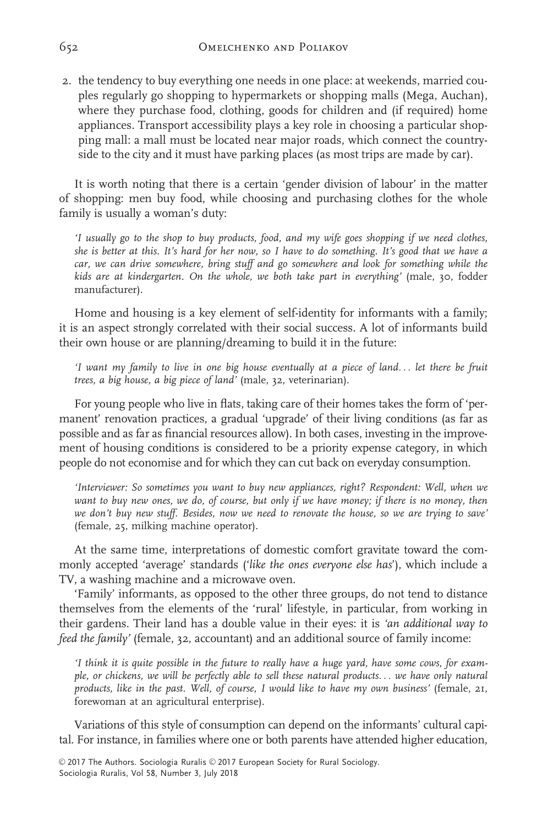2. the tendency to buy everything one needs in one place: at weekends, married couples regularly go shopping to hypermarkets or shopping malls (Mega, Auchan), where they purchase food, clothing, goods for children and (if required) home appliances. Transport accessibility plays a key role in choosing a particular shopping mall: a mall must be located near major roads, which connect the countryside to the city and it must have parking places (as most trips are made by car).

It is worth noting that there is a certain 'gender division of labour' in the matter of shopping: men buy food, while choosing and purchasing clothes for the whole family is usually a woman's duty:

'I usually go to the shop to buy products, food, and my wife goes shopping if we need clothes, she is better at this. It's hard for her now, so I have to do something. It's good that we have a car, we can drive somewhere, bring stuff and go somewhere and look for something while the kids are at kindergarten. On the whole, we both take part in everything' (male, 30, fodder manufacturer).

Home and housing is a key element of self-identity for informants with a family; it is an aspect strongly correlated with their social success. A lot of informants build their own house or are planning/dreaming to build it in the future:

'I want my family to live in one big house eventually at a piece of land... let there be fruit trees, a big house, a big piece of land' (male, 32, veterinarian).

For young people who live in flats, taking care of their homes takes the form of 'permanent' renovation practices, a gradual 'upgrade' of their living conditions (as far as possible and as far as financial resources allow). In both cases, investing in the improvement of housing conditions is considered to be a priority expense category, in which people do not economise and for which they can cut back on everyday consumption.

'Interviewer: So sometimes you want to buy new appliances, right? Respondent: Well, when we want to buy new ones, we do, of course, but only if we have money; if there is no money, then we don't buy new stuff. Besides, now we need to renovate the house, so we are trying to save' (female, 25, milking machine operator).

At the same time, interpretations of domestic comfort gravitate toward the commonly accepted 'average' standards ('like the ones everyone else has'), which include a TV, a washing machine and a microwave oven.

'Family' informants, as opposed to the other three groups, do not tend to distance themselves from the elements of the 'rural' lifestyle, in particular, from working in their gardens. Their land has a double value in their eyes: it is 'an additional way to feed the family' (female, 32, accountant) and an additional source of family income:

'I think it is quite possible in the future to really have a huge yard, have some cows, for example, or chickens, we will be perfectly able to sell these natural products... we have only natural products, like in the past. Well, of course, I would like to have my own business' (female, 21, forewoman at an agricultural enterprise).

Variations of this style of consumption can depend on the informants' cultural capital. For instance, in families where one or both parents have attended higher education,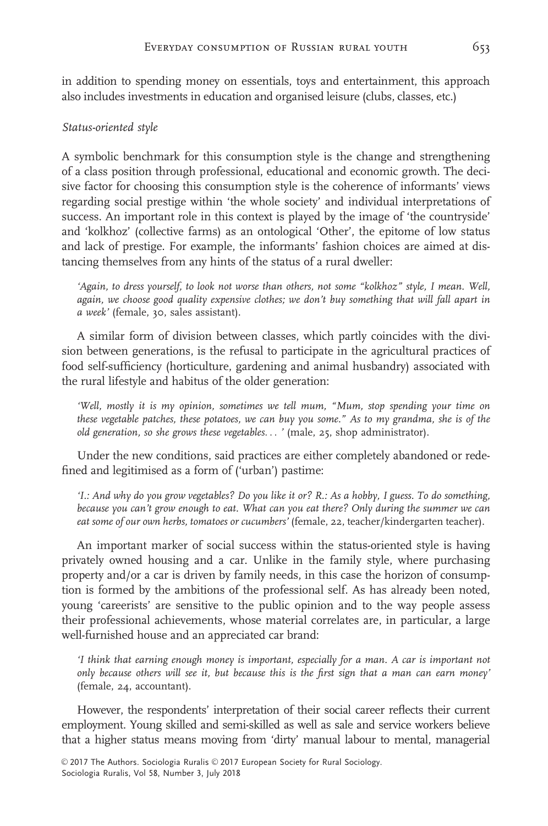in addition to spending money on essentials, toys and entertainment, this approach also includes investments in education and organised leisure (clubs, classes, etc.)

#### Status-oriented style

A symbolic benchmark for this consumption style is the change and strengthening of a class position through professional, educational and economic growth. The decisive factor for choosing this consumption style is the coherence of informants' views regarding social prestige within 'the whole society' and individual interpretations of success. An important role in this context is played by the image of 'the countryside' and 'kolkhoz' (collective farms) as an ontological 'Other', the epitome of low status and lack of prestige. For example, the informants' fashion choices are aimed at distancing themselves from any hints of the status of a rural dweller:

'Again, to dress yourself, to look not worse than others, not some "kolkhoz" style, I mean. Well, again, we choose good quality expensive clothes; we don't buy something that will fall apart in a week' (female, 30, sales assistant).

A similar form of division between classes, which partly coincides with the division between generations, is the refusal to participate in the agricultural practices of food self-sufficiency (horticulture, gardening and animal husbandry) associated with the rural lifestyle and habitus of the older generation:

'Well, mostly it is my opinion, sometimes we tell mum, "Mum, stop spending your time on these vegetable patches, these potatoes, we can buy you some." As to my grandma, she is of the old generation, so she grows these vegetables... ' (male, 25, shop administrator).

Under the new conditions, said practices are either completely abandoned or redefined and legitimised as a form of ('urban') pastime:

'I.: And why do you grow vegetables? Do you like it or? R.: As a hobby, I guess. To do something, because you can't grow enough to eat. What can you eat there? Only during the summer we can eat some of our own herbs, tomatoes or cucumbers' (female, 22, teacher/kindergarten teacher).

An important marker of social success within the status-oriented style is having privately owned housing and a car. Unlike in the family style, where purchasing property and/or a car is driven by family needs, in this case the horizon of consumption is formed by the ambitions of the professional self. As has already been noted, young 'careerists' are sensitive to the public opinion and to the way people assess their professional achievements, whose material correlates are, in particular, a large well-furnished house and an appreciated car brand:

'I think that earning enough money is important, especially for a man. A car is important not only because others will see it, but because this is the first sign that a man can earn money' (female, 24, accountant).

However, the respondents' interpretation of their social career reflects their current employment. Young skilled and semi-skilled as well as sale and service workers believe that a higher status means moving from 'dirty' manual labour to mental, managerial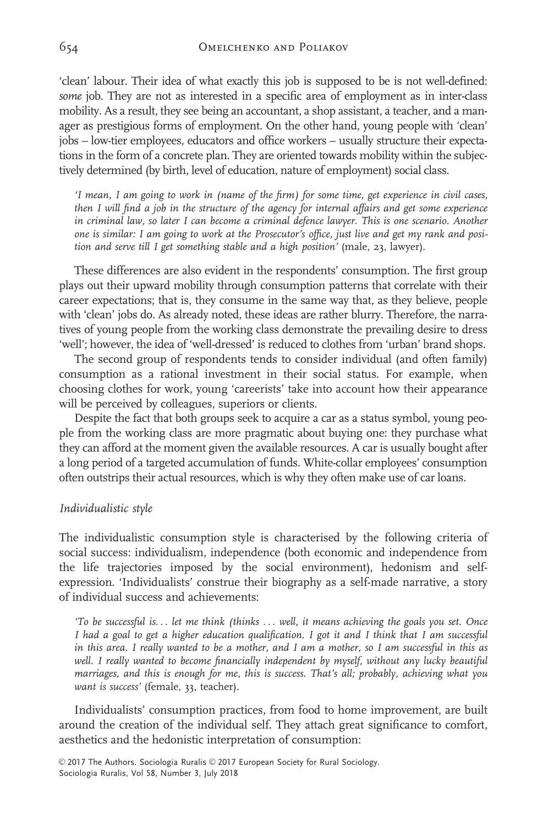'clean' labour. Their idea of what exactly this job is supposed to be is not well-defined: some job. They are not as interested in a specific area of employment as in inter-class mobility. As a result, they see being an accountant, a shop assistant, a teacher, and a manager as prestigious forms of employment. On the other hand, young people with 'clean' jobs – low-tier employees, educators and office workers – usually structure their expectations in the form of a concrete plan. They are oriented towards mobility within the subjectively determined (by birth, level of education, nature of employment) social class.

'I mean, I am going to work in (name of the firm) for some time, get experience in civil cases, then I will find a job in the structure of the agency for internal affairs and get some experience in criminal law, so later I can become a criminal defence lawyer. This is one scenario. Another one is similar: I am going to work at the Prosecutor's office, just live and get my rank and position and serve till I get something stable and a high position' (male, 23, lawyer).

These differences are also evident in the respondents' consumption. The first group plays out their upward mobility through consumption patterns that correlate with their career expectations; that is, they consume in the same way that, as they believe, people with 'clean' jobs do. As already noted, these ideas are rather blurry. Therefore, the narratives of young people from the working class demonstrate the prevailing desire to dress 'well'; however, the idea of 'well-dressed' is reduced to clothes from 'urban' brand shops.

The second group of respondents tends to consider individual (and often family) consumption as a rational investment in their social status. For example, when choosing clothes for work, young 'careerists' take into account how their appearance will be perceived by colleagues, superiors or clients.

Despite the fact that both groups seek to acquire a car as a status symbol, young people from the working class are more pragmatic about buying one: they purchase what they can afford at the moment given the available resources. A car is usually bought after a long period of a targeted accumulation of funds. White-collar employees' consumption often outstrips their actual resources, which is why they often make use of car loans.

# Individualistic style

The individualistic consumption style is characterised by the following criteria of social success: individualism, independence (both economic and independence from the life trajectories imposed by the social environment), hedonism and selfexpression. 'Individualists' construe their biography as a self-made narrative, a story of individual success and achievements:

'To be successful is... let me think (thinks ... well, it means achieving the goals you set. Once I had a goal to get a higher education qualification. I got it and I think that I am successful in this area. I really wanted to be a mother, and I am a mother, so I am successful in this as well. I really wanted to become financially independent by myself, without any lucky beautiful marriages, and this is enough for me, this is success. That's all; probably, achieving what you want is success' (female, 33, teacher).

Individualists' consumption practices, from food to home improvement, are built around the creation of the individual self. They attach great significance to comfort, aesthetics and the hedonistic interpretation of consumption: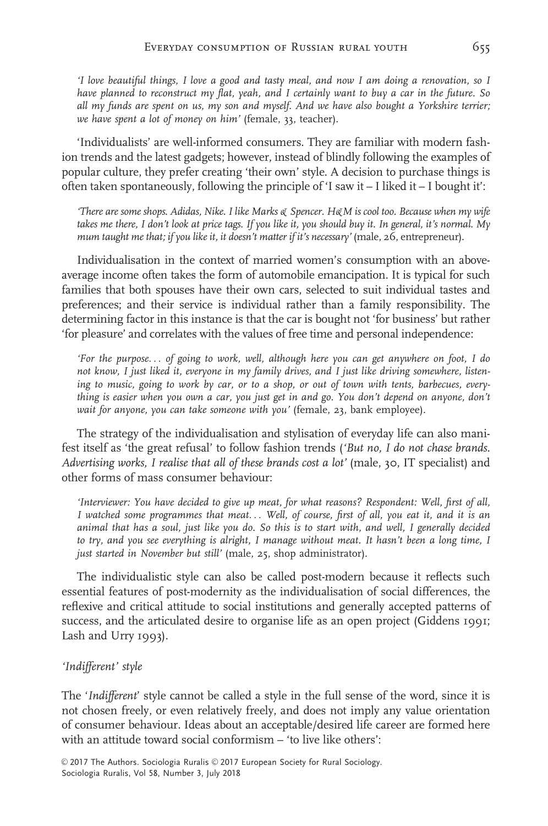'I love beautiful things, I love a good and tasty meal, and now I am doing a renovation, so I have planned to reconstruct my flat, yeah, and I certainly want to buy a car in the future. So all my funds are spent on us, my son and myself. And we have also bought a Yorkshire terrier; we have spent a lot of money on him' (female, 33, teacher).

'Individualists' are well-informed consumers. They are familiar with modern fashion trends and the latest gadgets; however, instead of blindly following the examples of popular culture, they prefer creating 'their own' style. A decision to purchase things is often taken spontaneously, following the principle of 'I saw it – I liked it – I bought it':

'There are some shops. Adidas, Nike. I like Marks  $\&$  Spencer. H $\&$  M is cool too. Because when my wife takes me there, I don't look at price tags. If you like it, you should buy it. In general, it's normal. My mum taught me that; if you like it, it doesn't matter if it's necessary' (male, 26, entrepreneur).

Individualisation in the context of married women's consumption with an aboveaverage income often takes the form of automobile emancipation. It is typical for such families that both spouses have their own cars, selected to suit individual tastes and preferences; and their service is individual rather than a family responsibility. The determining factor in this instance is that the car is bought not 'for business' but rather 'for pleasure' and correlates with the values of free time and personal independence:

'For the purpose... of going to work, well, although here you can get anywhere on foot, I do not know, I just liked it, everyone in my family drives, and I just like driving somewhere, listening to music, going to work by car, or to a shop, or out of town with tents, barbecues, everything is easier when you own a car, you just get in and go. You don't depend on anyone, don't wait for anyone, you can take someone with you' (female, 23, bank employee).

The strategy of the individualisation and stylisation of everyday life can also manifest itself as 'the great refusal' to follow fashion trends ('But no, I do not chase brands. Advertising works, I realise that all of these brands cost a lot' (male, 30, IT specialist) and other forms of mass consumer behaviour:

'Interviewer: You have decided to give up meat, for what reasons? Respondent: Well, first of all, I watched some programmes that meat... Well, of course, first of all, you eat it, and it is an animal that has a soul, just like you do. So this is to start with, and well, I generally decided to try, and you see everything is alright, I manage without meat. It hasn't been a long time, I just started in November but still' (male, 25, shop administrator).

The individualistic style can also be called post-modern because it reflects such essential features of post-modernity as the individualisation of social differences, the reflexive and critical attitude to social institutions and generally accepted patterns of success, and the articulated desire to organise life as an open project (Giddens 1991; Lash and Urry 1993).

# 'Indifferent' style

The 'Indifferent' style cannot be called a style in the full sense of the word, since it is not chosen freely, or even relatively freely, and does not imply any value orientation of consumer behaviour. Ideas about an acceptable/desired life career are formed here with an attitude toward social conformism – 'to live like others':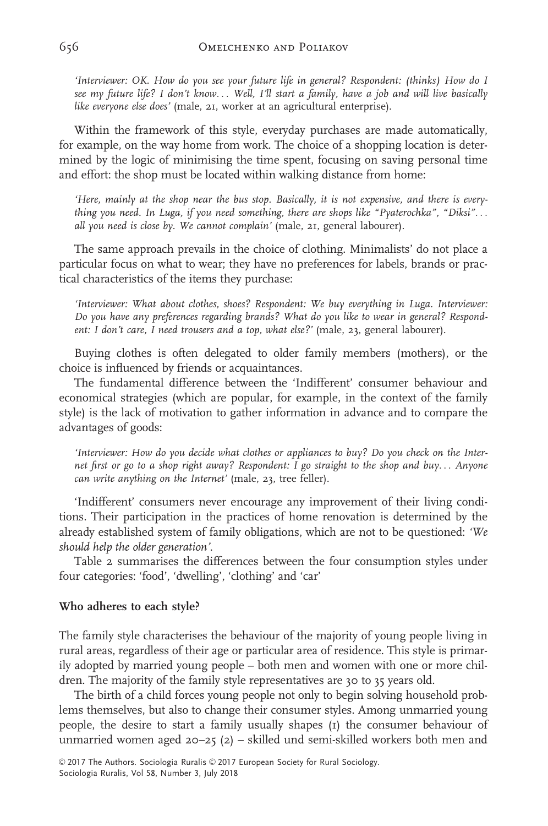'Interviewer: OK. How do you see your future life in general? Respondent: (thinks) How do I see my future life? I don't know... Well, I'll start a family, have a job and will live basically like everyone else does' (male, 21, worker at an agricultural enterprise).

Within the framework of this style, everyday purchases are made automatically, for example, on the way home from work. The choice of a shopping location is determined by the logic of minimising the time spent, focusing on saving personal time and effort: the shop must be located within walking distance from home:

'Here, mainly at the shop near the bus stop. Basically, it is not expensive, and there is everything you need. In Luga, if you need something, there are shops like "Pyaterochka", "Diksi"... all you need is close by. We cannot complain' (male, 21, general labourer).

The same approach prevails in the choice of clothing. Minimalists' do not place a particular focus on what to wear; they have no preferences for labels, brands or practical characteristics of the items they purchase:

'Interviewer: What about clothes, shoes? Respondent: We buy everything in Luga. Interviewer: Do you have any preferences regarding brands? What do you like to wear in general? Respondent: I don't care, I need trousers and a top, what else?' (male, 23, general labourer).

Buying clothes is often delegated to older family members (mothers), or the choice is influenced by friends or acquaintances.

The fundamental difference between the 'Indifferent' consumer behaviour and economical strategies (which are popular, for example, in the context of the family style) is the lack of motivation to gather information in advance and to compare the advantages of goods:

'Interviewer: How do you decide what clothes or appliances to buy? Do you check on the Internet first or go to a shop right away? Respondent: I go straight to the shop and buy... Anyone can write anything on the Internet' (male, 23, tree feller).

'Indifferent' consumers never encourage any improvement of their living conditions. Their participation in the practices of home renovation is determined by the already established system of family obligations, which are not to be questioned: 'We should help the older generation'.

Table 2 summarises the differences between the four consumption styles under four categories: 'food', 'dwelling', 'clothing' and 'car'

# Who adheres to each style?

The family style characterises the behaviour of the majority of young people living in rural areas, regardless of their age or particular area of residence. This style is primarily adopted by married young people – both men and women with one or more children. The majority of the family style representatives are 30 to 35 years old.

The birth of a child forces young people not only to begin solving household problems themselves, but also to change their consumer styles. Among unmarried young people, the desire to start a family usually shapes (1) the consumer behaviour of unmarried women aged 20–25 (2) – skilled und semi-skilled workers both men and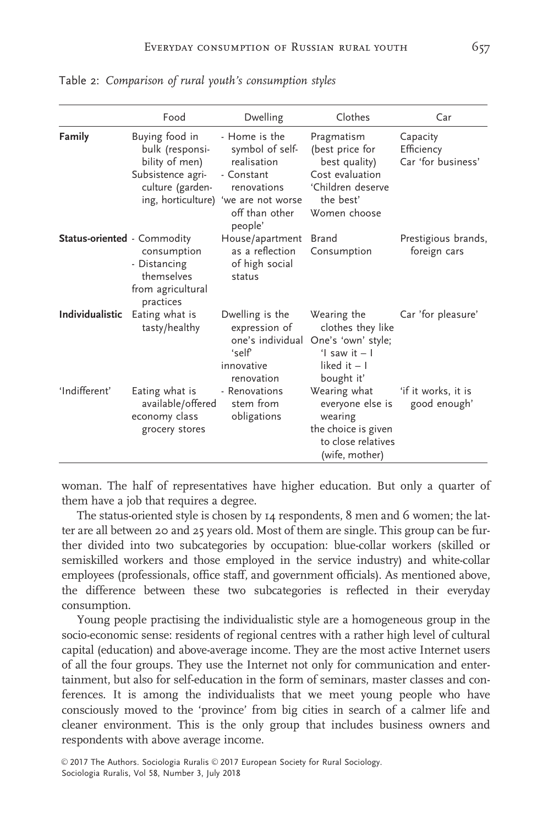|                                    | Food                                                                                         | Dwelling                                                                                                                                          | Clothes                                                                                                             | Car                                          |
|------------------------------------|----------------------------------------------------------------------------------------------|---------------------------------------------------------------------------------------------------------------------------------------------------|---------------------------------------------------------------------------------------------------------------------|----------------------------------------------|
| Family                             | Buying food in<br>bulk (responsi-<br>bility of men)<br>Subsistence agri-<br>culture (garden- | - Home is the<br>symbol of self-<br>realisation<br>- Constant<br>renovations<br>ing, horticulture) 'we are not worse<br>off than other<br>people' | Pragmatism<br>(best price for<br>best quality)<br>Cost evaluation<br>'Children deserve<br>the best'<br>Women choose | Capacity<br>Efficiency<br>Car 'for business' |
| <b>Status-oriented</b> - Commodity | consumption<br>- Distancing<br>themselves<br>from agricultural<br>practices                  | House/apartment<br>as a reflection<br>of high social<br>status                                                                                    | Brand<br>Consumption                                                                                                | Prestigious brands,<br>foreign cars          |
| <b>Individualistic</b>             | Eating what is<br>tasty/healthy                                                              | Dwelling is the<br>expression of<br>one's individual<br>ʻself<br>innovative<br>renovation                                                         | Wearing the<br>clothes they like<br>One's 'own' style;<br>'I saw it $-1$<br>liked it $-1$<br>bought it'             | Car 'for pleasure'                           |
| 'Indifferent'                      | Eating what is<br>available/offered<br>economy class<br>grocery stores                       | - Renovations<br>stem from<br>obligations                                                                                                         | Wearing what<br>everyone else is<br>wearing<br>the choice is given<br>to close relatives<br>(wife, mother)          | 'if it works, it is<br>good enough'          |

Table 2: Comparison of rural youth's consumption styles

woman. The half of representatives have higher education. But only a quarter of them have a job that requires a degree.

The status-oriented style is chosen by 14 respondents, 8 men and 6 women; the latter are all between 20 and 25 years old. Most of them are single. This group can be further divided into two subcategories by occupation: blue-collar workers (skilled or semiskilled workers and those employed in the service industry) and white-collar employees (professionals, office staff, and government officials). As mentioned above, the difference between these two subcategories is reflected in their everyday consumption.

Young people practising the individualistic style are a homogeneous group in the socio-economic sense: residents of regional centres with a rather high level of cultural capital (education) and above-average income. They are the most active Internet users of all the four groups. They use the Internet not only for communication and entertainment, but also for self-education in the form of seminars, master classes and conferences. It is among the individualists that we meet young people who have consciously moved to the 'province' from big cities in search of a calmer life and cleaner environment. This is the only group that includes business owners and respondents with above average income.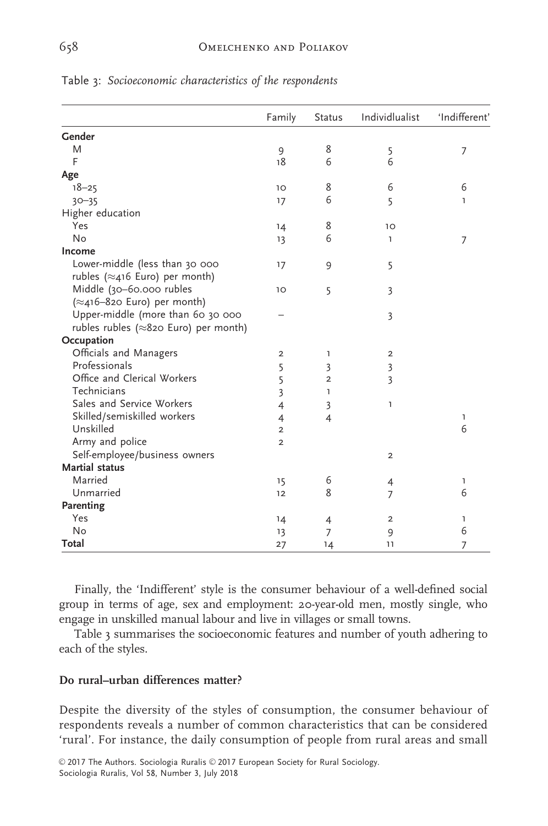|                                                | Family         | <b>Status</b>  | Individlualist | 'Indifferent'  |
|------------------------------------------------|----------------|----------------|----------------|----------------|
| Gender                                         |                |                |                |                |
| M                                              | 9              | 8              | 5              | 7              |
| F                                              | 18             | 6              | 6              |                |
| Age                                            |                |                |                |                |
| $18 - 25$                                      | 10             | 8              | 6              | 6              |
| $30 - 35$                                      | 17             | 6              | 5              | I.             |
| Higher education                               |                |                |                |                |
| Yes                                            | 14             | 8              | 10             |                |
| No                                             | 13             | 6              | ı              | 7              |
| Income                                         |                |                |                |                |
| Lower-middle (less than 30 000                 | 17             | 9              | 5              |                |
| rubles ( $\approx$ 416 Euro) per month)        |                |                |                |                |
| Middle (30-60.000 rubles                       | 10             | 5              | 3              |                |
| $(\approx 416-820$ Euro) per month)            |                |                |                |                |
| Upper-middle (more than 60 30 000              |                |                | 3              |                |
| rubles rubles ( $\approx$ 820 Euro) per month) |                |                |                |                |
| Occupation                                     |                |                |                |                |
| Officials and Managers                         | $\overline{2}$ | L.             | $\overline{2}$ |                |
| Professionals                                  | 5              | 3              | 3              |                |
| Office and Clerical Workers                    | 5              | $\overline{2}$ | 3              |                |
| Technicians                                    | 3              | ı              |                |                |
| Sales and Service Workers                      | $\overline{4}$ | 3              | I.             |                |
| Skilled/semiskilled workers                    | $\overline{4}$ | 4              |                | 1              |
| Unskilled                                      | $\overline{2}$ |                |                | 6              |
| Army and police                                | $\overline{2}$ |                |                |                |
| Self-employee/business owners                  |                |                | $\overline{2}$ |                |
| <b>Martial status</b>                          |                |                |                |                |
| Married                                        | 15             | 6              | 4              | 1              |
| Unmarried                                      | 12             | 8              | 7              | 6              |
| Parenting                                      |                |                |                |                |
| Yes                                            | 14             | 4              | $\overline{2}$ | ı              |
| No                                             | 13             | 7              | 9              | 6              |
| Total                                          | 27             | 14             | 11             | $\overline{7}$ |

Table 3: Socioeconomic characteristics of the respondents

Finally, the 'Indifferent' style is the consumer behaviour of a well-defined social group in terms of age, sex and employment: 20-year-old men, mostly single, who engage in unskilled manual labour and live in villages or small towns.

Table 3 summarises the socioeconomic features and number of youth adhering to each of the styles.

# Do rural–urban differences matter?

Despite the diversity of the styles of consumption, the consumer behaviour of respondents reveals a number of common characteristics that can be considered 'rural'. For instance, the daily consumption of people from rural areas and small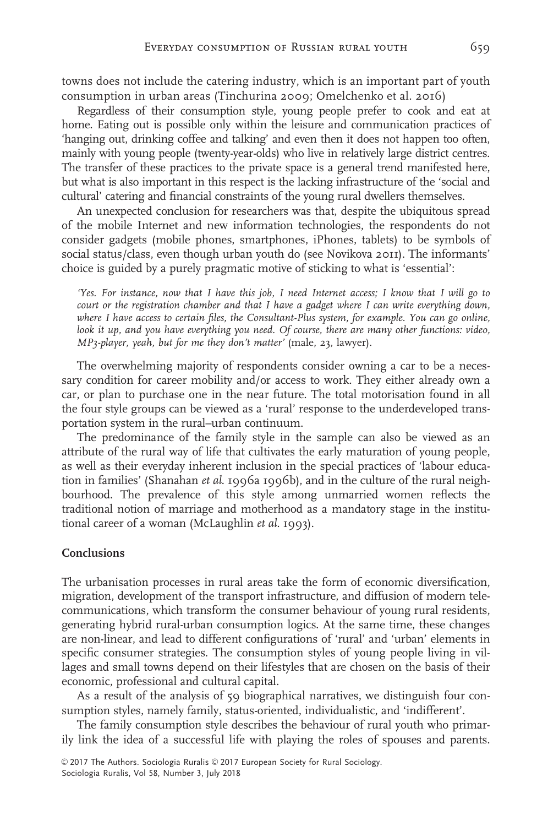towns does not include the catering industry, which is an important part of youth consumption in urban areas (Tinchurina 2009; Omelchenko et al. 2016)

Regardless of their consumption style, young people prefer to cook and eat at home. Eating out is possible only within the leisure and communication practices of 'hanging out, drinking coffee and talking' and even then it does not happen too often, mainly with young people (twenty-year-olds) who live in relatively large district centres. The transfer of these practices to the private space is a general trend manifested here, but what is also important in this respect is the lacking infrastructure of the 'social and cultural' catering and financial constraints of the young rural dwellers themselves.

An unexpected conclusion for researchers was that, despite the ubiquitous spread of the mobile Internet and new information technologies, the respondents do not consider gadgets (mobile phones, smartphones, iPhones, tablets) to be symbols of social status/class, even though urban youth do (see Novikova 2011). The informants' choice is guided by a purely pragmatic motive of sticking to what is 'essential':

'Yes. For instance, now that I have this job, I need Internet access; I know that I will go to court or the registration chamber and that I have a gadget where I can write everything down, where I have access to certain files, the Consultant-Plus system, for example. You can go online, look it up, and you have everything you need. Of course, there are many other functions: video, MP3-player, yeah, but for me they don't matter' (male, 23, lawyer).

The overwhelming majority of respondents consider owning a car to be a necessary condition for career mobility and/or access to work. They either already own a car, or plan to purchase one in the near future. The total motorisation found in all the four style groups can be viewed as a 'rural' response to the underdeveloped transportation system in the rural–urban continuum.

The predominance of the family style in the sample can also be viewed as an attribute of the rural way of life that cultivates the early maturation of young people, as well as their everyday inherent inclusion in the special practices of 'labour education in families' (Shanahan et al. 1996a 1996b), and in the culture of the rural neighbourhood. The prevalence of this style among unmarried women reflects the traditional notion of marriage and motherhood as a mandatory stage in the institutional career of a woman (McLaughlin et al. 1993).

#### **Conclusions**

The urbanisation processes in rural areas take the form of economic diversification, migration, development of the transport infrastructure, and diffusion of modern telecommunications, which transform the consumer behaviour of young rural residents, generating hybrid rural-urban consumption logics. At the same time, these changes are non-linear, and lead to different configurations of 'rural' and 'urban' elements in specific consumer strategies. The consumption styles of young people living in villages and small towns depend on their lifestyles that are chosen on the basis of their economic, professional and cultural capital.

As a result of the analysis of 59 biographical narratives, we distinguish four consumption styles, namely family, status-oriented, individualistic, and 'indifferent'.

The family consumption style describes the behaviour of rural youth who primarily link the idea of a successful life with playing the roles of spouses and parents.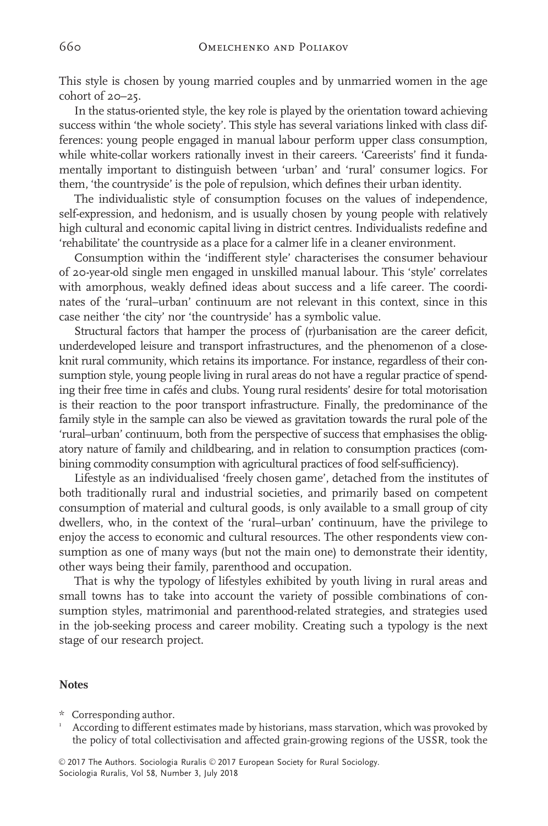This style is chosen by young married couples and by unmarried women in the age cohort of 20–25.

In the status-oriented style, the key role is played by the orientation toward achieving success within 'the whole society'. This style has several variations linked with class differences: young people engaged in manual labour perform upper class consumption, while white-collar workers rationally invest in their careers. 'Careerists' find it fundamentally important to distinguish between 'urban' and 'rural' consumer logics. For them, 'the countryside' is the pole of repulsion, which defines their urban identity.

The individualistic style of consumption focuses on the values of independence, self-expression, and hedonism, and is usually chosen by young people with relatively high cultural and economic capital living in district centres. Individualists redefine and 'rehabilitate' the countryside as a place for a calmer life in a cleaner environment.

Consumption within the 'indifferent style' characterises the consumer behaviour of 20-year-old single men engaged in unskilled manual labour. This 'style' correlates with amorphous, weakly defined ideas about success and a life career. The coordinates of the 'rural–urban' continuum are not relevant in this context, since in this case neither 'the city' nor 'the countryside' has a symbolic value.

Structural factors that hamper the process of (r)urbanisation are the career deficit, underdeveloped leisure and transport infrastructures, and the phenomenon of a closeknit rural community, which retains its importance. For instance, regardless of their consumption style, young people living in rural areas do not have a regular practice of spending their free time in cafés and clubs. Young rural residents' desire for total motorisation is their reaction to the poor transport infrastructure. Finally, the predominance of the family style in the sample can also be viewed as gravitation towards the rural pole of the 'rural–urban' continuum, both from the perspective of success that emphasises the obligatory nature of family and childbearing, and in relation to consumption practices (combining commodity consumption with agricultural practices of food self-sufficiency).

Lifestyle as an individualised 'freely chosen game', detached from the institutes of both traditionally rural and industrial societies, and primarily based on competent consumption of material and cultural goods, is only available to a small group of city dwellers, who, in the context of the 'rural–urban' continuum, have the privilege to enjoy the access to economic and cultural resources. The other respondents view consumption as one of many ways (but not the main one) to demonstrate their identity, other ways being their family, parenthood and occupation.

That is why the typology of lifestyles exhibited by youth living in rural areas and small towns has to take into account the variety of possible combinations of consumption styles, matrimonial and parenthood-related strategies, and strategies used in the job-seeking process and career mobility. Creating such a typology is the next stage of our research project.

#### **Notes**

- \* Corresponding author.
- <sup>1</sup> According to different estimates made by historians, mass starvation, which was provoked by the policy of total collectivisation and affected grain-growing regions of the USSR, took the

© 2017 The Authors. Sociologia Ruralis © 2017 European Society for Rural Sociology. Sociologia Ruralis, Vol 58, Number 3, July 2018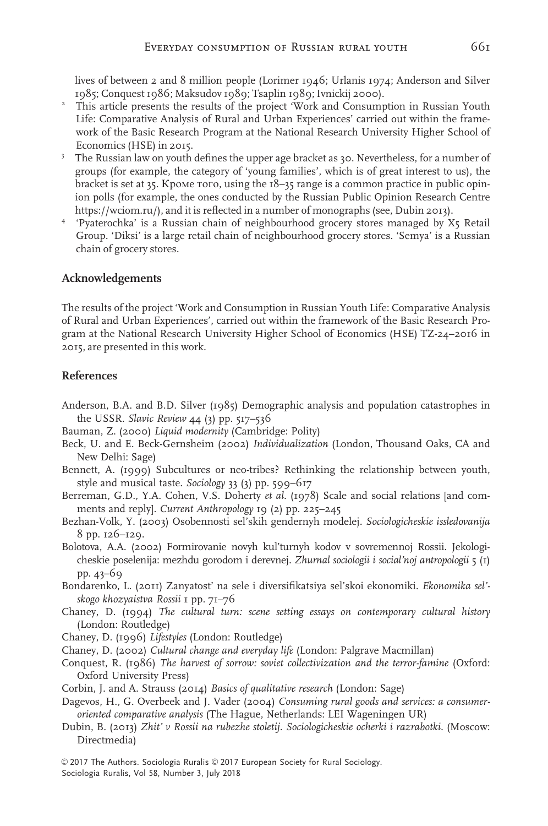lives of between 2 and 8 million people (Lorimer 1946; Urlanis 1974; Anderson and Silver 1985; Conquest 1986; Maksudov 1989; Tsaplin 1989; Ivnickij 2000).

- <sup>2</sup> This article presents the results of the project 'Work and Consumption in Russian Youth Life: Comparative Analysis of Rural and Urban Experiences' carried out within the framework of the Basic Research Program at the National Research University Higher School of Economics (HSE) in 2015.
- <sup>3</sup> The Russian law on youth defines the upper age bracket as 30. Nevertheless, for a number of groups (for example, the category of 'young families', which is of great interest to us), the bracket is set at 35. Kpome  $\pi$ oro, using the  $18-35$  range is a common practice in public opinion polls (for example, the ones conducted by the Russian Public Opinion Research Centre [https://wciom.ru/\)](https://wciom.ru/), and it is reflected in a number of monographs (see, Dubin 2013).
- <sup>4</sup> 'Pyaterochka' is a Russian chain of neighbourhood grocery stores managed by X5 Retail Group. 'Diksi' is a large retail chain of neighbourhood grocery stores. 'Semya' is a Russian chain of grocery stores.

# Acknowledgements

The results of the project 'Work and Consumption in Russian Youth Life: Comparative Analysis of Rural and Urban Experiences', carried out within the framework of the Basic Research Program at the National Research University Higher School of Economics (HSE) TZ-24–2016 in 2015, are presented in this work.

# References

- Anderson, B.A. and B.D. Silver (1985) Demographic analysis and population catastrophes in the USSR. Slavic Review 44 (3) pp. 517–536
- Bauman, Z. (2000) Liquid modernity (Cambridge: Polity)
- Beck, U. and E. Beck-Gernsheim (2002) Individualization (London, Thousand Oaks, CA and New Delhi: Sage)
- Bennett, A. (1999) Subcultures or neo-tribes? Rethinking the relationship between youth, style and musical taste. Sociology 33 (3) pp. 599–617
- Berreman, G.D., Y.A. Cohen, V.S. Doherty et al. (1978) Scale and social relations [and comments and reply]. Current Anthropology 19 (2) pp. 225–245
- Bezhan-Volk, Y. (2003) Osobennosti sel'skih gendernyh modelej. Sociologicheskie issledovanija 8 pp. 126–129.
- Bolotova, A.A. (2002) Formirovanie novyh kul'turnyh kodov v sovremennoj Rossii. Jekologicheskie poselenija: mezhdu gorodom i derevnej. Zhurnal sociologii i social'noj antropologii 5 (1) pp. 43–69
- Bondarenko, L. (2011) Zanyatost' na sele i diversifikatsiya sel'skoi ekonomiki. Ekonomika sel' skogo khozyaistva Rossii 1 pp. 71–76
- Chaney, D. (1994) The cultural turn: scene setting essays on contemporary cultural history (London: Routledge)
- Chaney, D. (1996) Lifestyles (London: Routledge)
- Chaney, D. (2002) Cultural change and everyday life (London: Palgrave Macmillan)
- Conquest, R. (1986) The harvest of sorrow: soviet collectivization and the terror-famine (Oxford: Oxford University Press)
- Corbin, J. and A. Strauss (2014) Basics of qualitative research (London: Sage)
- Dagevos, H., G. Overbeek and J. Vader (2004) Consuming rural goods and services: a consumeroriented comparative analysis (The Hague, Netherlands: LEI Wageningen UR)
- Dubin, B. (2013) Zhit' v Rossii na rubezhe stoletij. Sociologicheskie ocherki i razrabotki. (Moscow: Directmedia)

© 2017 The Authors. Sociologia Ruralis © 2017 European Society for Rural Sociology. Sociologia Ruralis, Vol 58, Number 3, July 2018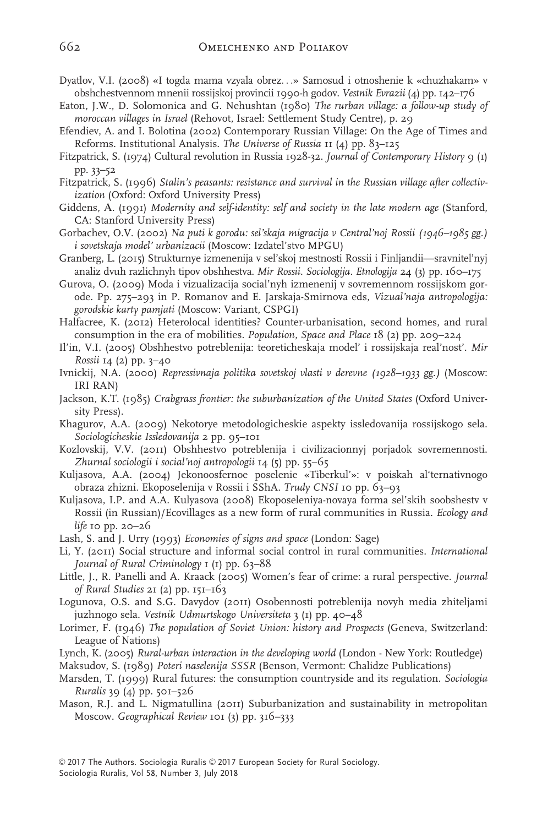- Dyatlov, V.I. (2008) «I togda mama vzyala obrez...» Samosud i otnoshenie k «chuzhakam» v obshchestvennom mnenii rossijskoj provincii 1990-h godov. Vestnik Evrazii (4) pp. 142–176
- Eaton, J.W., D. Solomonica and G. Nehushtan (1980) The rurban village: a follow-up study of moroccan villages in Israel (Rehovot, Israel: Settlement Study Centre), p. 29
- Efendiev, A. and I. Bolotina (2002) Contemporary Russian Village: On the Age of Times and Reforms. Institutional Analysis. The Universe of Russia 11 (4) pp. 83–125
- Fitzpatrick, S. (1974) Cultural revolution in Russia 1928-32. Journal of Contemporary History 9 (1) pp. 33–52
- Fitzpatrick, S. (1996) Stalin's peasants: resistance and survival in the Russian village after collectivization (Oxford: Oxford University Press)
- Giddens, A. (1991) Modernity and self-identity: self and society in the late modern age (Stanford, CA: Stanford University Press)
- Gorbachev, O.V. (2002) Na puti k gorodu: sel'skaja migracija v Central'noj Rossii (1946–1985 gg.) i sovetskaja model' urbanizacii (Moscow: Izdatel'stvo MPGU)
- Granberg, L. (2015) Strukturnye izmenenija v sel'skoj mestnosti Rossii i Finljandii—sravnitel'nyj analiz dvuh razlichnyh tipov obshhestva. Mir Rossii. Sociologija. Etnologija 24 (3) pp. 160–175
- Gurova, O. (2009) Moda i vizualizacija social'nyh izmenenij v sovremennom rossijskom gorode. Pp. 275–293 in P. Romanov and E. Jarskaja-Smirnova eds, Vizual'naja antropologija: gorodskie karty pamjati (Moscow: Variant, CSPGI)
- Halfacree, K. (2012) Heterolocal identities? Counter-urbanisation, second homes, and rural consumption in the era of mobilities. Population, Space and Place 18 (2) pp. 209–224
- Il'in, V.I. (2005) Obshhestvo potreblenija: teoreticheskaja model' i rossijskaja real'nost'. Mir Rossii 14 (2) pp. 3–40
- Ivnickij, N.A. (2000) Repressivnaja politika sovetskoj vlasti v derevne (1928–1933 gg.) (Moscow: IRI RAN)
- Jackson, K.T. (1985) Crabgrass frontier: the suburbanization of the United States (Oxford University Press).
- Khagurov, A.A. (2009) Nekotorye metodologicheskie aspekty issledovanija rossijskogo sela. Sociologicheskie Issledovanija 2 pp. 95–101
- Kozlovskij, V.V. (2011) Obshhestvo potreblenija i civilizacionnyj porjadok sovremennosti. Zhurnal sociologii i social'noj antropologii 14 (5) pp. 55–65
- Kuljasova, A.A. (2004) Jekonoosfernoe poselenie «Tiberkul'»: v poiskah al'ternativnogo obraza zhizni. Ekoposelenija v Rossii i SShA. Trudy CNSI 10 pp. 63–93
- Kuljasova, I.P. and A.A. Kulyasova (2008) Ekoposeleniya-novaya forma sel'skih soobshestv v Rossii (in Russian)/Ecovillages as a new form of rural communities in Russia. Ecology and life 10 pp. 20–26
- Lash, S. and J. Urry (1993) Economies of signs and space (London: Sage)
- Li, Y. (2011) Social structure and informal social control in rural communities. International Journal of Rural Criminology  $I$  (1) pp. 63–88
- Little, J., R. Panelli and A. Kraack (2005) Women's fear of crime: a rural perspective. Journal of Rural Studies 21 (2) pp. 151–163
- Logunova, O.S. and S.G. Davydov (2011) Osobennosti potreblenija novyh media zhiteljami juzhnogo sela. Vestnik Udmurtskogo Universiteta 3 (1) pp. 40–48
- Lorimer, F. (1946) The population of Soviet Union: history and Prospects (Geneva, Switzerland: League of Nations)
- Lynch, K. (2005) Rural-urban interaction in the developing world (London New York: Routledge)
- Maksudov, S. (1989) Poteri naselenija SSSR (Benson, Vermont: Chalidze Publications)
- Marsden, T. (1999) Rural futures: the consumption countryside and its regulation. Sociologia Ruralis 39 (4) pp. 501–526
- Mason, R.J. and L. Nigmatullina (2011) Suburbanization and sustainability in metropolitan Moscow. Geographical Review 101 (3) pp. 316–333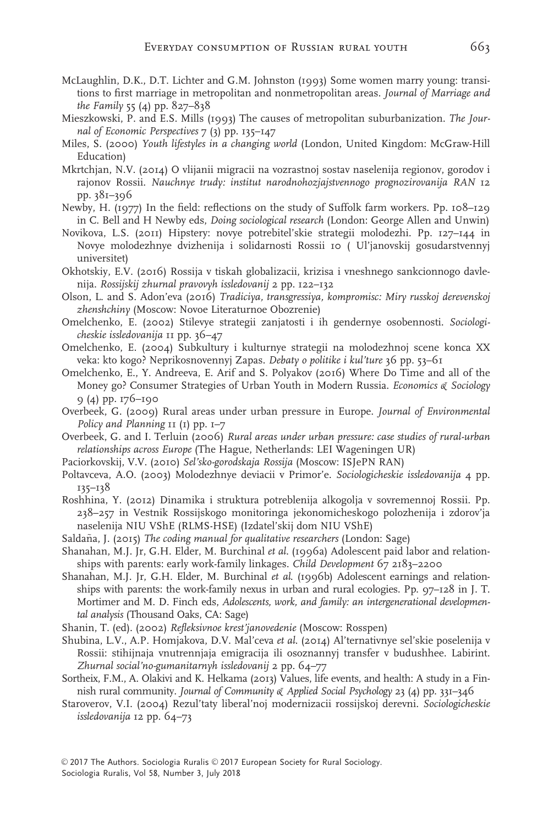- McLaughlin, D.K., D.T. Lichter and G.M. Johnston (1993) Some women marry young: transitions to first marriage in metropolitan and nonmetropolitan areas. Journal of Marriage and the Family 55 (4) pp. 827–838
- Mieszkowski, P. and E.S. Mills (1993) The causes of metropolitan suburbanization. The Journal of Economic Perspectives 7 (3) pp. 135–147
- Miles, S. (2000) Youth lifestyles in a changing world (London, United Kingdom: McGraw-Hill Education)
- Mkrtchjan, N.V. (2014) O vlijanii migracii na vozrastnoj sostav naselenija regionov, gorodov i rajonov Rossii. Nauchnye trudy: institut narodnohozjajstvennogo prognozirovanija RAN 12 pp. 381–396
- Newby, H. (1977) In the field: reflections on the study of Suffolk farm workers. Pp. 108–129 in C. Bell and H Newby eds, Doing sociological research (London: George Allen and Unwin)
- Novikova, L.S. (2011) Hipstery: novye potrebitel'skie strategii molodezhi. Pp. 127–144 in Novye molodezhnye dvizhenija i solidarnosti Rossii 10 ( Ul'janovskij gosudarstvennyj universitet)
- Okhotskiy, E.V. (2016) Rossija v tiskah globalizacii, krizisa i vneshnego sankcionnogo davlenija. Rossijskij zhurnal pravovyh issledovanij 2 pp. 122–132
- Olson, L. and S. Adon'eva (2016) Tradiciya, transgressiya, kompromisc: Miry russkoj derevenskoj zhenshchiny (Moscow: Novoe Literaturnoe Obozrenie)
- Omelchenko, E. (2002) Stilevye strategii zanjatosti i ih gendernye osobennosti. Sociologicheskie issledovanija 11 pp. 36–47
- Omelchenko, E. (2004) Subkultury i kulturnye strategii na molodezhnoj scene konca XX veka: kto kogo? Neprikosnovennyj Zapas. Debaty o politike i kul'ture 36 pp. 53–61
- Omelchenko, E., Y. Andreeva, E. Arif and S. Polyakov (2016) Where Do Time and all of the Money go? Consumer Strategies of Urban Youth in Modern Russia. Economics & Sociology 9 (4) pp. 176–190
- Overbeek, G. (2009) Rural areas under urban pressure in Europe. Journal of Environmental Policy and Planning 11 (1) pp. 1–7
- Overbeek, G. and I. Terluin (2006) Rural areas under urban pressure: case studies of rural-urban relationships across Europe (The Hague, Netherlands: LEI Wageningen UR)
- Paciorkovskij, V.V. (2010) Sel'sko-gorodskaja Rossija (Moscow: ISJePN RAN)
- Poltavceva, A.O. (2003) Molodezhnye deviacii v Primor'e. Sociologicheskie issledovanija 4 pp. 135–138
- Roshhina, Y. (2012) Dinamika i struktura potreblenija alkogolja v sovremennoj Rossii. Pp. 238–257 in Vestnik Rossijskogo monitoringa jekonomicheskogo polozhenija i zdorov'ja naselenija NIU VShE (RLMS-HSE) (Izdatel'skij dom NIU VShE)
- Saldaña, J. (2015) The coding manual for qualitative researchers (London: Sage)
- Shanahan, M.J. Jr, G.H. Elder, M. Burchinal et al. (1996a) Adolescent paid labor and relationships with parents: early work-family linkages. Child Development 67 2183–2200
- Shanahan, M.J. Jr, G.H. Elder, M. Burchinal et al. (1996b) Adolescent earnings and relationships with parents: the work-family nexus in urban and rural ecologies. Pp. 97–128 in J. T. Mortimer and M. D. Finch eds, Adolescents, work, and family: an intergenerational developmental analysis (Thousand Oaks, CA: Sage)
- Shanin, T. (ed). (2002) Refleksivnoe krest'janovedenie (Moscow: Rosspen)
- Shubina, L.V., A.P. Homjakova, D.V. Mal'ceva et al. (2014) Al'ternativnye sel'skie poselenija v Rossii: stihijnaja vnutrennjaja emigracija ili osoznannyj transfer v budushhee. Labirint. Zhurnal social'no-gumanitarnyh issledovanij 2 pp. 64–77
- Sortheix, F.M., A. Olakivi and K. Helkama (2013) Values, life events, and health: A study in a Finnish rural community. Journal of Community & Applied Social Psychology 23 (4) pp. 331–346
- Staroverov, V.I. (2004) Rezul'taty liberal'noj modernizacii rossijskoj derevni. Sociologicheskie issledovanija 12 pp. 64–73